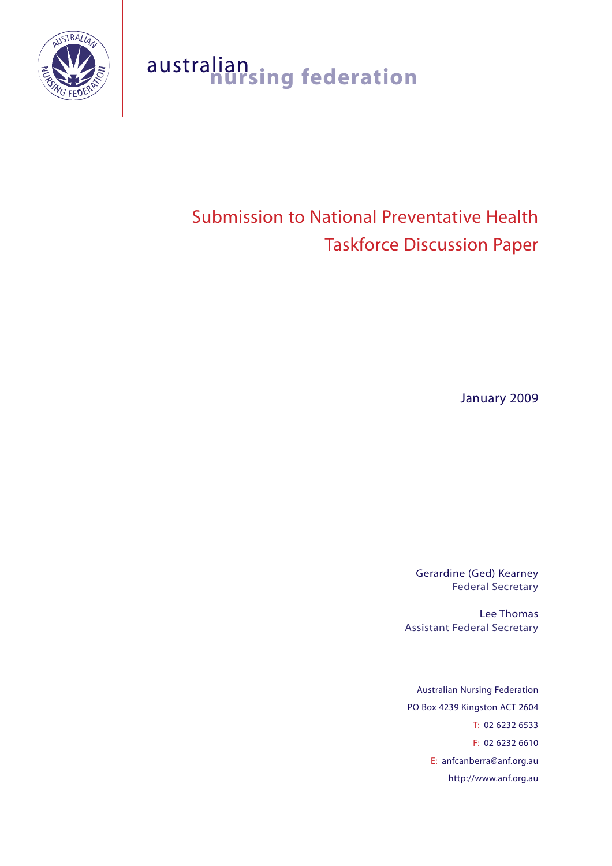

## australian **nursing federation**

# Submission to National Preventative Health Taskforce Discussion Paper

January 2009

Gerardine (Ged) Kearney Federal Secretary

Lee Thomas Assistant Federal Secretary

Australian Nursing Federation PO Box 4239 Kingston ACT 2604 T: 02 6232 6533 F: 02 6232 6610 E: anfcanberra@anf.org.au http://www.anf.org.au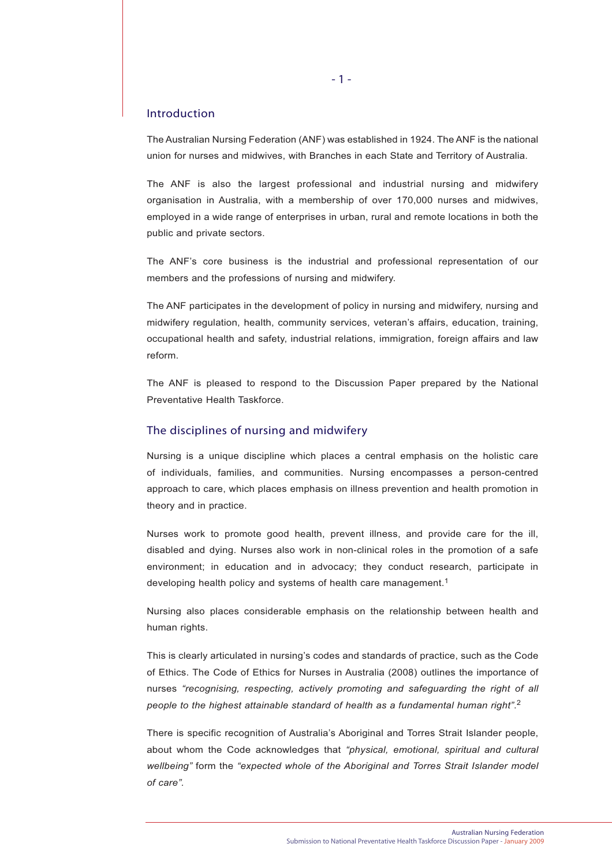#### Introduction

The Australian Nursing Federation (ANF) was established in 1924. The ANF is the national union for nurses and midwives, with Branches in each State and Territory of Australia.

The ANF is also the largest professional and industrial nursing and midwifery organisation in Australia, with a membership of over 170,000 nurses and midwives, employed in a wide range of enterprises in urban, rural and remote locations in both the public and private sectors.

The ANF's core business is the industrial and professional representation of our members and the professions of nursing and midwifery.

The ANF participates in the development of policy in nursing and midwifery, nursing and midwifery regulation, health, community services, veteran's affairs, education, training, occupational health and safety, industrial relations, immigration, foreign affairs and law reform.

The ANF is pleased to respond to the Discussion Paper prepared by the National Preventative Health Taskforce.

#### The disciplines of nursing and midwifery

Nursing is a unique discipline which places a central emphasis on the holistic care of individuals, families, and communities. Nursing encompasses a person-centred approach to care, which places emphasis on illness prevention and health promotion in theory and in practice.

Nurses work to promote good health, prevent illness, and provide care for the ill, disabled and dying. Nurses also work in non-clinical roles in the promotion of a safe environment; in education and in advocacy; they conduct research, participate in developing health policy and systems of health care management.<sup>1</sup>

Nursing also places considerable emphasis on the relationship between health and human rights.

This is clearly articulated in nursing's codes and standards of practice, such as the Code of Ethics. The Code of Ethics for Nurses in Australia (2008) outlines the importance of nurses *"recognising, respecting, actively promoting and safeguarding the right of all people to the highest attainable standard of health as a fundamental human right"*. 2

There is specific recognition of Australia's Aboriginal and Torres Strait Islander people, about whom the Code acknowledges that *"physical, emotional, spiritual and cultural wellbeing"* form the *"expected whole of the Aboriginal and Torres Strait Islander model of care".*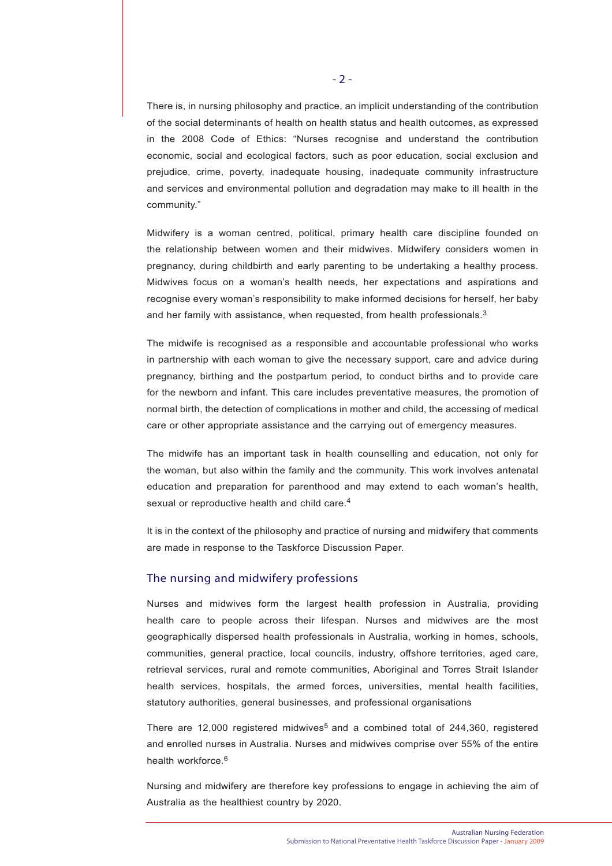There is, in nursing philosophy and practice, an implicit understanding of the contribution of the social determinants of health on health status and health outcomes, as expressed in the 2008 Code of Ethics: "Nurses recognise and understand the contribution economic, social and ecological factors, such as poor education, social exclusion and prejudice, crime, poverty, inadequate housing, inadequate community infrastructure and services and environmental pollution and degradation may make to ill health in the community."

Midwifery is a woman centred, political, primary health care discipline founded on the relationship between women and their midwives. Midwifery considers women in pregnancy, during childbirth and early parenting to be undertaking a healthy process. Midwives focus on a woman's health needs, her expectations and aspirations and recognise every woman's responsibility to make informed decisions for herself, her baby and her family with assistance, when requested, from health professionals. $3$ 

The midwife is recognised as a responsible and accountable professional who works in partnership with each woman to give the necessary support, care and advice during pregnancy, birthing and the postpartum period, to conduct births and to provide care for the newborn and infant. This care includes preventative measures, the promotion of normal birth, the detection of complications in mother and child, the accessing of medical care or other appropriate assistance and the carrying out of emergency measures.

The midwife has an important task in health counselling and education, not only for the woman, but also within the family and the community. This work involves antenatal education and preparation for parenthood and may extend to each woman's health, sexual or reproductive health and child care.<sup>4</sup>

It is in the context of the philosophy and practice of nursing and midwifery that comments are made in response to the Taskforce Discussion Paper.

#### The nursing and midwifery professions

Nurses and midwives form the largest health profession in Australia, providing health care to people across their lifespan. Nurses and midwives are the most geographically dispersed health professionals in Australia, working in homes, schools, communities, general practice, local councils, industry, offshore territories, aged care, retrieval services, rural and remote communities, Aboriginal and Torres Strait Islander health services, hospitals, the armed forces, universities, mental health facilities, statutory authorities, general businesses, and professional organisations

There are 12,000 registered midwives<sup>5</sup> and a combined total of  $244,360$ , registered and enrolled nurses in Australia. Nurses and midwives comprise over 55% of the entire health workforce  $6$ 

Nursing and midwifery are therefore key professions to engage in achieving the aim of Australia as the healthiest country by 2020.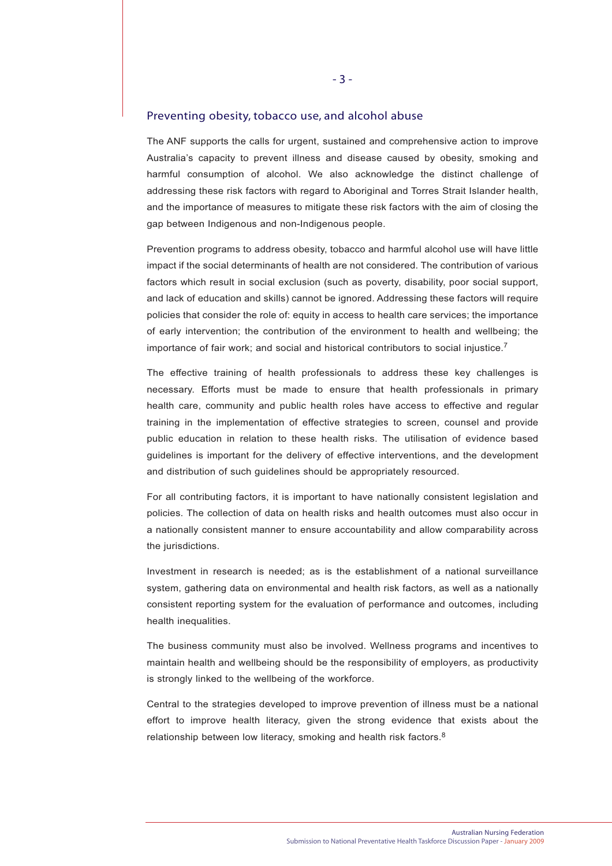#### Preventing obesity, tobacco use, and alcohol abuse

The ANF supports the calls for urgent, sustained and comprehensive action to improve Australia's capacity to prevent illness and disease caused by obesity, smoking and harmful consumption of alcohol. We also acknowledge the distinct challenge of addressing these risk factors with regard to Aboriginal and Torres Strait Islander health, and the importance of measures to mitigate these risk factors with the aim of closing the gap between Indigenous and non-Indigenous people.

Prevention programs to address obesity, tobacco and harmful alcohol use will have little impact if the social determinants of health are not considered. The contribution of various factors which result in social exclusion (such as poverty, disability, poor social support, and lack of education and skills) cannot be ignored. Addressing these factors will require policies that consider the role of: equity in access to health care services; the importance of early intervention; the contribution of the environment to health and wellbeing; the importance of fair work; and social and historical contributors to social injustice.<sup>7</sup>

The effective training of health professionals to address these key challenges is necessary. Efforts must be made to ensure that health professionals in primary health care, community and public health roles have access to effective and regular training in the implementation of effective strategies to screen, counsel and provide public education in relation to these health risks. The utilisation of evidence based guidelines is important for the delivery of effective interventions, and the development and distribution of such guidelines should be appropriately resourced.

For all contributing factors, it is important to have nationally consistent legislation and policies. The collection of data on health risks and health outcomes must also occur in a nationally consistent manner to ensure accountability and allow comparability across the jurisdictions.

Investment in research is needed; as is the establishment of a national surveillance system, gathering data on environmental and health risk factors, as well as a nationally consistent reporting system for the evaluation of performance and outcomes, including health inequalities.

The business community must also be involved. Wellness programs and incentives to maintain health and wellbeing should be the responsibility of employers, as productivity is strongly linked to the wellbeing of the workforce.

Central to the strategies developed to improve prevention of illness must be a national effort to improve health literacy, given the strong evidence that exists about the relationship between low literacy, smoking and health risk factors.<sup>8</sup>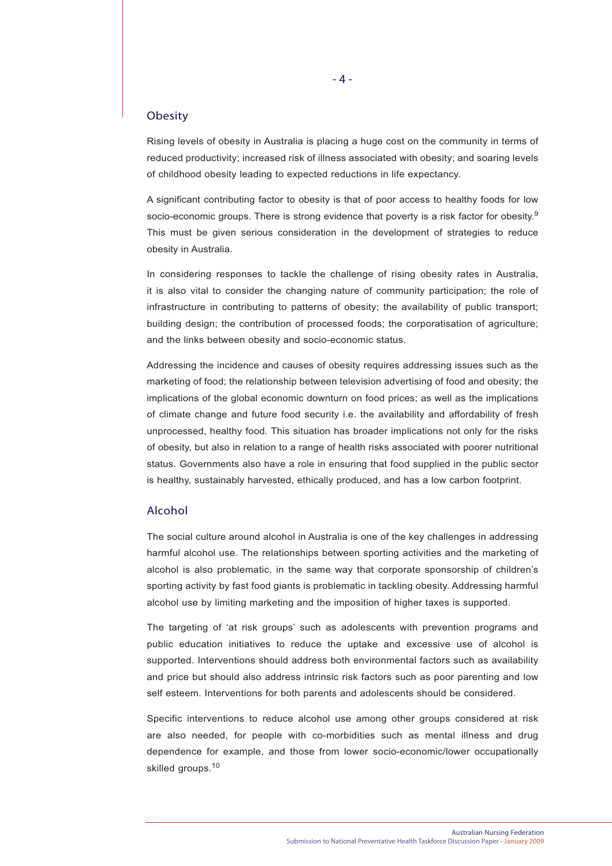#### **Obesity**

Rising levels of obesity in Australia is placing a huge cost on the community in terms of reduced productivity; increased risk of illness associated with obesity; and soaring levels of childhood obesity leading to expected reductions in life expectancy.

A significant contributing factor to obesity is that of poor access to healthy foods for low socio-economic groups. There is strong evidence that poverty is a risk factor for obesity.<sup>9</sup> This must be given serious consideration in the development of strategies to reduce obesity in Australia.

In considering responses to tackle the challenge of rising obesity rates in Australia, it is also vital to consider the changing nature of community participation; the role of infrastructure in contributing to patterns of obesity; the availability of public transport; building design; the contribution of processed foods; the corporatisation of agriculture; and the links between obesity and socio-economic status.

Addressing the incidence and causes of obesity requires addressing issues such as the marketing of food; the relationship between television advertising of food and obesity; the implications of the global economic downturn on food prices; as well as the implications of climate change and future food security i.e. the availability and affordability of fresh unprocessed, healthy food. This situation has broader implications not only for the risks of obesity, but also in relation to a range of health risks associated with poorer nutritional status. Governments also have a role in ensuring that food supplied in the public sector is healthy, sustainably harvested, ethically produced, and has a low carbon footprint.

#### Alcohol

The social culture around alcohol in Australia is one of the key challenges in addressing harmful alcohol use. The relationships between sporting activities and the marketing of alcohol is also problematic, in the same way that corporate sponsorship of children's sporting activity by fast food giants is problematic in tackling obesity. Addressing harmful alcohol use by limiting marketing and the imposition of higher taxes is supported.

The targeting of 'at risk groups' such as adolescents with prevention programs and public education initiatives to reduce the uptake and excessive use of alcohol is supported. Interventions should address both environmental factors such as availability and price but should also address intrinsic risk factors such as poor parenting and low self esteem. Interventions for both parents and adolescents should be considered.

Specific interventions to reduce alcohol use among other groups considered at risk are also needed, for people with co-morbidities such as mental illness and drug dependence for example, and those from lower socio-economic/lower occupationally skilled groups.<sup>10</sup>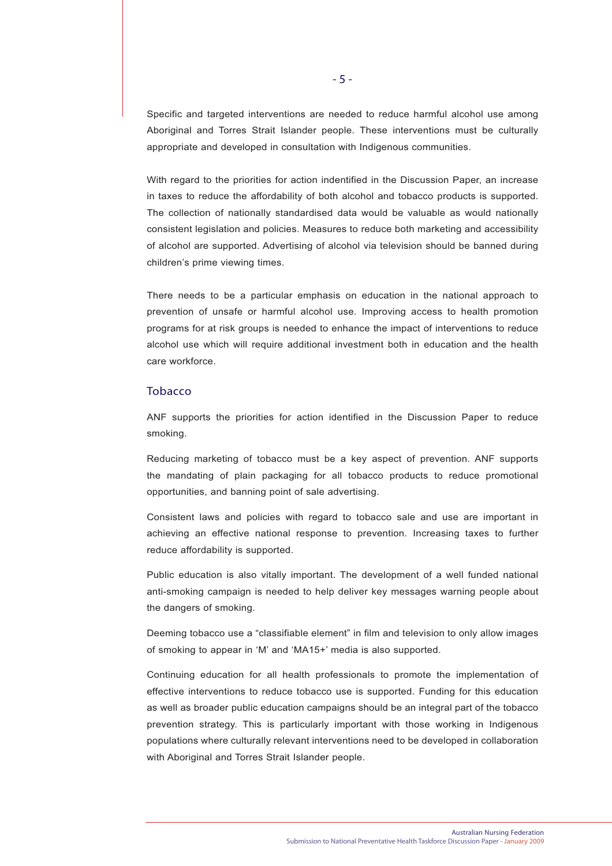Specific and targeted interventions are needed to reduce harmful alcohol use among Aboriginal and Torres Strait Islander people. These interventions must be culturally appropriate and developed in consultation with Indigenous communities.

With regard to the priorities for action indentified in the Discussion Paper, an increase in taxes to reduce the affordability of both alcohol and tobacco products is supported. The collection of nationally standardised data would be valuable as would nationally consistent legislation and policies. Measures to reduce both marketing and accessibility of alcohol are supported. Advertising of alcohol via television should be banned during children's prime viewing times.

There needs to be a particular emphasis on education in the national approach to prevention of unsafe or harmful alcohol use. Improving access to health promotion programs for at risk groups is needed to enhance the impact of interventions to reduce alcohol use which will require additional investment both in education and the health care workforce.

#### Tobacco

ANF supports the priorities for action identified in the Discussion Paper to reduce smoking.

Reducing marketing of tobacco must be a key aspect of prevention. ANF supports the mandating of plain packaging for all tobacco products to reduce promotional opportunities, and banning point of sale advertising.

Consistent laws and policies with regard to tobacco sale and use are important in achieving an effective national response to prevention. Increasing taxes to further reduce affordability is supported.

Public education is also vitally important. The development of a well funded national anti-smoking campaign is needed to help deliver key messages warning people about the dangers of smoking.

Deeming tobacco use a "classifiable element" in film and television to only allow images of smoking to appear in 'M' and 'MA15+' media is also supported.

Continuing education for all health professionals to promote the implementation of effective interventions to reduce tobacco use is supported. Funding for this education as well as broader public education campaigns should be an integral part of the tobacco prevention strategy. This is particularly important with those working in Indigenous populations where culturally relevant interventions need to be developed in collaboration with Aboriginal and Torres Strait Islander people.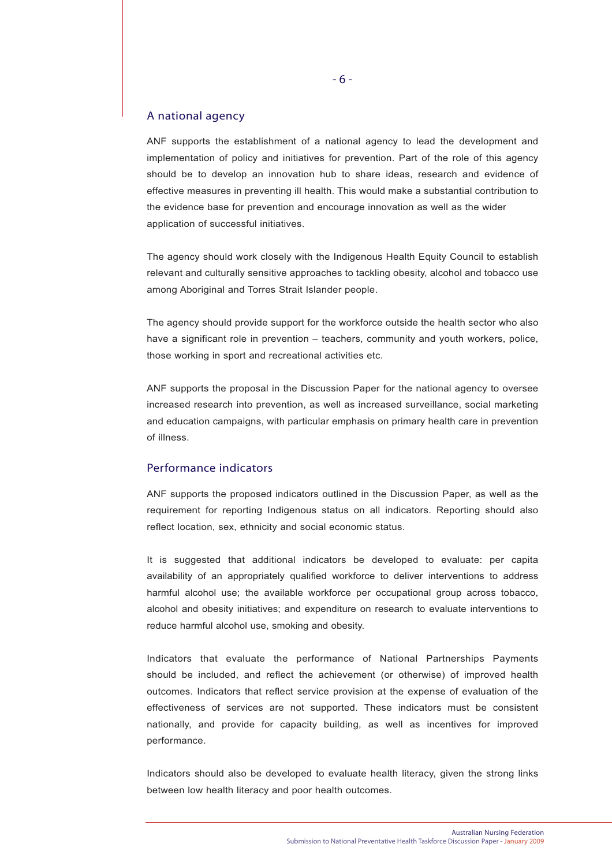#### A national agency

ANF supports the establishment of a national agency to lead the development and implementation of policy and initiatives for prevention. Part of the role of this agency should be to develop an innovation hub to share ideas, research and evidence of effective measures in preventing ill health. This would make a substantial contribution to the evidence base for prevention and encourage innovation as well as the wider application of successful initiatives.

The agency should work closely with the Indigenous Health Equity Council to establish relevant and culturally sensitive approaches to tackling obesity, alcohol and tobacco use among Aboriginal and Torres Strait Islander people.

The agency should provide support for the workforce outside the health sector who also have a significant role in prevention – teachers, community and youth workers, police, those working in sport and recreational activities etc.

ANF supports the proposal in the Discussion Paper for the national agency to oversee increased research into prevention, as well as increased surveillance, social marketing and education campaigns, with particular emphasis on primary health care in prevention of illness.

#### Performance indicators

ANF supports the proposed indicators outlined in the Discussion Paper, as well as the requirement for reporting Indigenous status on all indicators. Reporting should also reflect location, sex, ethnicity and social economic status.

It is suggested that additional indicators be developed to evaluate: per capita availability of an appropriately qualified workforce to deliver interventions to address harmful alcohol use; the available workforce per occupational group across tobacco, alcohol and obesity initiatives; and expenditure on research to evaluate interventions to reduce harmful alcohol use, smoking and obesity.

Indicators that evaluate the performance of National Partnerships Payments should be included, and reflect the achievement (or otherwise) of improved health outcomes. Indicators that reflect service provision at the expense of evaluation of the effectiveness of services are not supported. These indicators must be consistent nationally, and provide for capacity building, as well as incentives for improved performance.

Indicators should also be developed to evaluate health literacy, given the strong links between low health literacy and poor health outcomes.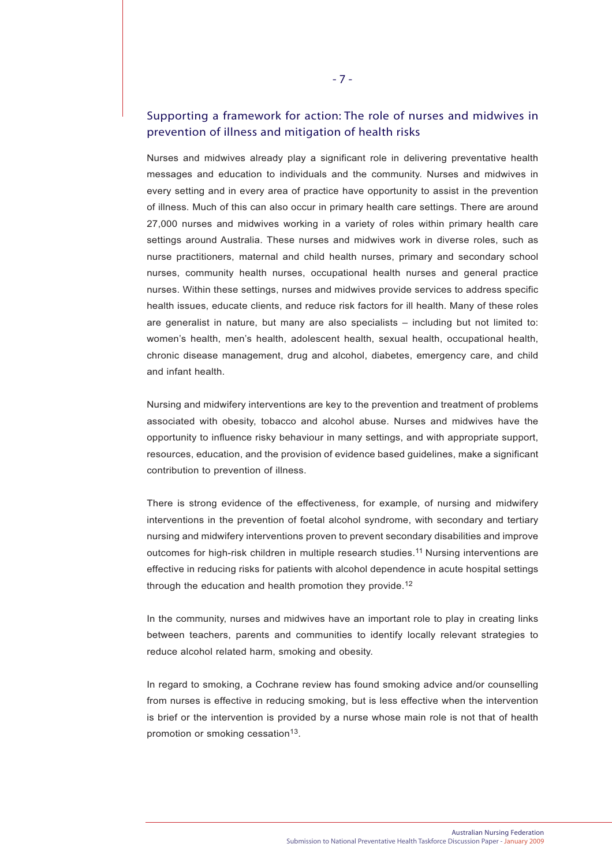### Supporting a framework for action: The role of nurses and midwives in prevention of illness and mitigation of health risks

Nurses and midwives already play a significant role in delivering preventative health messages and education to individuals and the community. Nurses and midwives in every setting and in every area of practice have opportunity to assist in the prevention of illness. Much of this can also occur in primary health care settings. There are around 27,000 nurses and midwives working in a variety of roles within primary health care settings around Australia. These nurses and midwives work in diverse roles, such as nurse practitioners, maternal and child health nurses, primary and secondary school nurses, community health nurses, occupational health nurses and general practice nurses. Within these settings, nurses and midwives provide services to address specific health issues, educate clients, and reduce risk factors for ill health. Many of these roles are generalist in nature, but many are also specialists – including but not limited to: women's health, men's health, adolescent health, sexual health, occupational health, chronic disease management, drug and alcohol, diabetes, emergency care, and child and infant health.

Nursing and midwifery interventions are key to the prevention and treatment of problems associated with obesity, tobacco and alcohol abuse. Nurses and midwives have the opportunity to influence risky behaviour in many settings, and with appropriate support, resources, education, and the provision of evidence based guidelines, make a significant contribution to prevention of illness.

There is strong evidence of the effectiveness, for example, of nursing and midwifery interventions in the prevention of foetal alcohol syndrome, with secondary and tertiary nursing and midwifery interventions proven to prevent secondary disabilities and improve outcomes for high-risk children in multiple research studies.<sup>11</sup> Nursing interventions are effective in reducing risks for patients with alcohol dependence in acute hospital settings through the education and health promotion they provide.<sup>12</sup>

In the community, nurses and midwives have an important role to play in creating links between teachers, parents and communities to identify locally relevant strategies to reduce alcohol related harm, smoking and obesity.

In regard to smoking, a Cochrane review has found smoking advice and/or counselling from nurses is effective in reducing smoking, but is less effective when the intervention is brief or the intervention is provided by a nurse whose main role is not that of health promotion or smoking cessation<sup>13</sup>.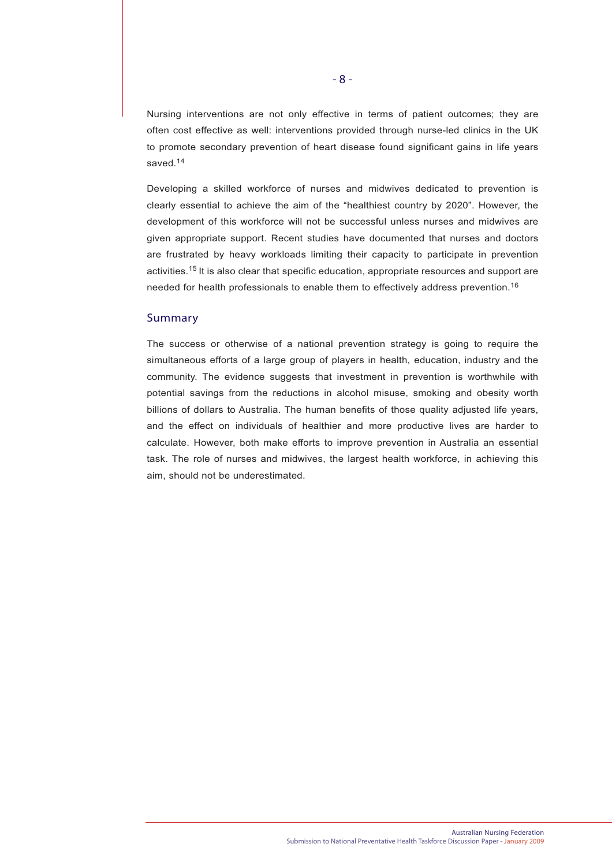Nursing interventions are not only effective in terms of patient outcomes; they are often cost effective as well: interventions provided through nurse-led clinics in the UK to promote secondary prevention of heart disease found significant gains in life years saved.<sup>14</sup>

Developing a skilled workforce of nurses and midwives dedicated to prevention is clearly essential to achieve the aim of the "healthiest country by 2020". However, the development of this workforce will not be successful unless nurses and midwives are given appropriate support. Recent studies have documented that nurses and doctors are frustrated by heavy workloads limiting their capacity to participate in prevention activities.15 It is also clear that specific education, appropriate resources and support are needed for health professionals to enable them to effectively address prevention.<sup>16</sup>

#### Summary

The success or otherwise of a national prevention strategy is going to require the simultaneous efforts of a large group of players in health, education, industry and the community. The evidence suggests that investment in prevention is worthwhile with potential savings from the reductions in alcohol misuse, smoking and obesity worth billions of dollars to Australia. The human benefits of those quality adjusted life years, and the effect on individuals of healthier and more productive lives are harder to calculate. However, both make efforts to improve prevention in Australia an essential task. The role of nurses and midwives, the largest health workforce, in achieving this aim, should not be underestimated.